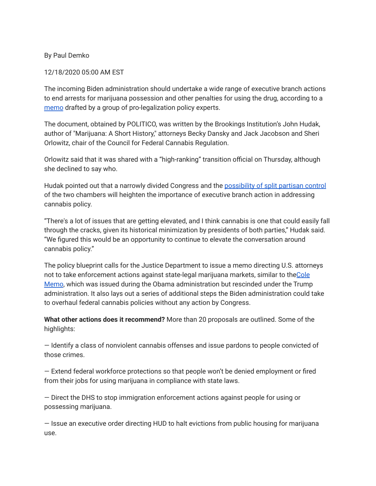## By Paul Demko

## 12/18/2020 05:00 AM EST

The incoming Biden administration should undertake a wide range of executive branch actions to end arrests for marijuana possession and other penalties for using the drug, according to a [memo](https://subscriber.politicopro.com/f/?id=00000176-72d9-df7e-a37f-f7dbb0770000&source=email) drafted by a group of pro-legalization policy experts.

The document, obtained by POLITICO, was written by the Brookings Institution's John Hudak, author of "Marijuana: A Short History," attorneys Becky Dansky and Jack Jacobson and Sheri Orlowitz, chair of the Council for Federal Cannabis Regulation.

Orlowitz said that it was shared with a "high-ranking" transition official on Thursday, although she declined to say who.

Hudak pointed out that a narrowly divided Congress and the [possibility](https://subscriber.politicopro.com/article/2020/12/15/biden-plea-georgia-senate-races-445705?source=email) of split partisan control of the two chambers will heighten the importance of executive branch action in addressing cannabis policy.

"There's a lot of issues that are getting elevated, and I think cannabis is one that could easily fall through the cracks, given its historical minimization by presidents of both parties," Hudak said. "We figured this would be an opportunity to continue to elevate the conversation around cannabis policy."

The policy blueprint calls for the Justice Department to issue a memo directing U.S. attorneys not to take enforcement actions against state-legal marijuana markets, similar to the[Cole](https://www.justice.gov/iso/opa/resources/3052013829132756857467.pdf?source=email) [Memo](https://www.justice.gov/iso/opa/resources/3052013829132756857467.pdf?source=email), which was issued during the Obama administration but rescinded under the Trump administration. It also lays out a series of additional steps the Biden administration could take to overhaul federal cannabis policies without any action by Congress.

**What other actions does it recommend?** More than 20 proposals are outlined. Some of the highlights:

— Identify a class of nonviolent cannabis offenses and issue pardons to people convicted of those crimes.

— Extend federal workforce protections so that people won't be denied employment or fired from their jobs for using marijuana in compliance with state laws.

— Direct the DHS to stop immigration enforcement actions against people for using or possessing marijuana.

— Issue an executive order directing HUD to halt evictions from public housing for marijuana use.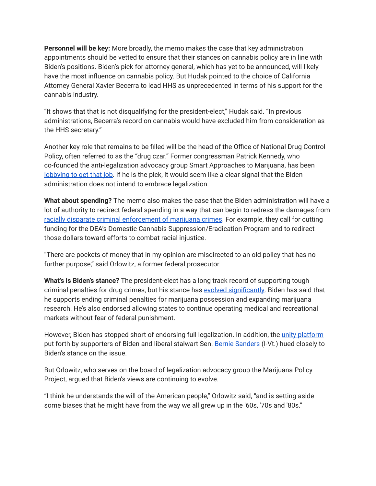**Personnel will be key:** More broadly, the memo makes the case that key administration appointments should be vetted to ensure that their stances on cannabis policy are in line with Biden's positions. Biden's pick for attorney general, which has yet to be announced, will likely have the most influence on cannabis policy. But Hudak pointed to the choice of California Attorney General Xavier Becerra to lead HHS as unprecedented in terms of his support for the cannabis industry.

"It shows that that is not disqualifying for the president-elect," Hudak said. "In previous administrations, Becerra's record on cannabis would have excluded him from consideration as the HHS secretary."

Another key role that remains to be filled will be the head of the Office of National Drug Control Policy, often referred to as the "drug czar." Former congressman Patrick Kennedy, who co-founded the anti-legalization advocacy group Smart Approaches to Marijuana, has been [lobbying](https://www.statnews.com/2020/12/14/patrick-kennedy-pitches-himself-for-biden-drug-czar/?source=email) to get that job. If he is the pick, it would seem like a clear signal that the Biden administration does not intend to embrace legalization.

**What about spending?** The memo also makes the case that the Biden administration will have a lot of authority to redirect federal spending in a way that can begin to redress the damages from racially disparate criminal [enforcement](https://www.aclu.org/press-releases/new-aclu-report-despite-marijuana-legalization-black-people-still-almost-four-times?source=email) of marijuana crimes. For example, they call for cutting funding for the DEA's Domestic Cannabis Suppression/Eradication Program and to redirect those dollars toward efforts to combat racial injustice.

"There are pockets of money that in my opinion are misdirected to an old policy that has no further purpose," said Orlowitz, a former federal prosecutor.

**What's is Biden's stance?** The president-elect has a long track record of supporting tough criminal penalties for drug crimes, but his stance has evolved [significantly.](https://subscriber.politicopro.com/article/2020/02/06/joe-biden-legalize-marijuana-111642?source=email) Biden has said that he supports ending criminal penalties for marijuana possession and expanding marijuana research. He's also endorsed allowing states to continue operating medical and recreational markets without fear of federal punishment.

However, Biden has stopped short of endorsing full legalization. In addition, the unity [platform](https://joebiden.com/wp-content/uploads/2020/08/UNITY-TASK-FORCE-RECOMMENDATIONS.pdf?source=email) put forth by supporters of Biden and liberal stalwart Sen. Bernie [Sanders](https://cd.politicopro.com/member/51605?source=email) (I-Vt.) hued closely to Biden's stance on the issue.

But Orlowitz, who serves on the board of legalization advocacy group the Marijuana Policy Project, argued that Biden's views are continuing to evolve.

"I think he understands the will of the American people," Orlowitz said, "and is setting aside some biases that he might have from the way we all grew up in the '60s, '70s and '80s."